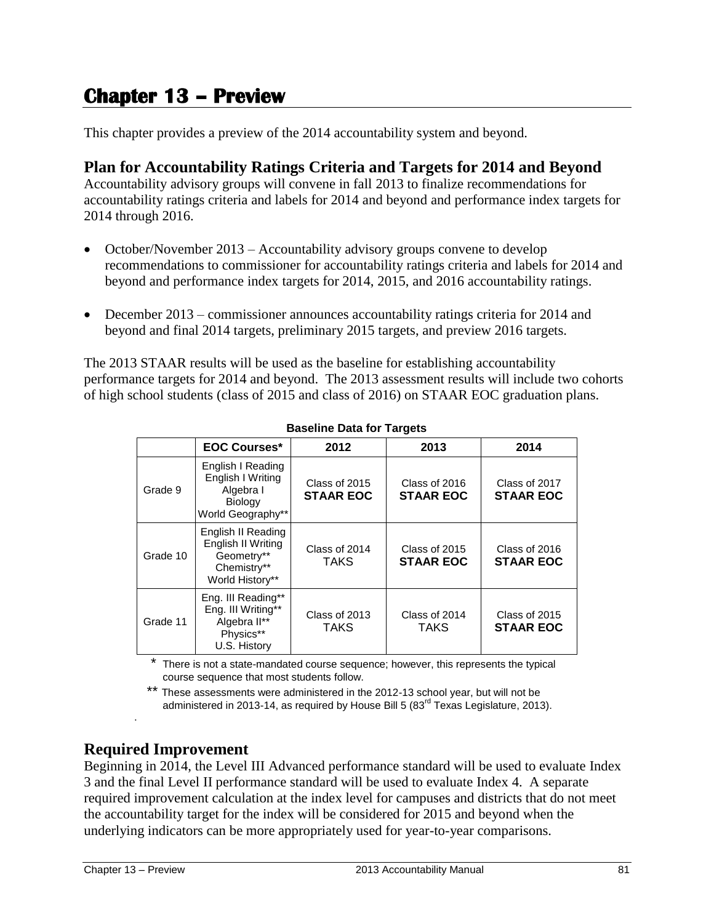# **Chapter 13 – Preview**

This chapter provides a preview of the 2014 accountability system and beyond.

# **Plan for Accountability Ratings Criteria and Targets for 2014 and Beyond**

Accountability advisory groups will convene in fall 2013 to finalize recommendations for accountability ratings criteria and labels for 2014 and beyond and performance index targets for 2014 through 2016.

- October/November 2013 Accountability advisory groups convene to develop recommendations to commissioner for accountability ratings criteria and labels for 2014 and beyond and performance index targets for 2014, 2015, and 2016 accountability ratings.
- December 2013 commissioner announces accountability ratings criteria for 2014 and beyond and final 2014 targets, preliminary 2015 targets, and preview 2016 targets.

The 2013 STAAR results will be used as the baseline for establishing accountability performance targets for 2014 and beyond. The 2013 assessment results will include two cohorts of high school students (class of 2015 and class of 2016) on STAAR EOC graduation plans.

|          | <b>EOC Courses*</b>                                                                        | 2012                              | 2013                              | 2014                              |  |
|----------|--------------------------------------------------------------------------------------------|-----------------------------------|-----------------------------------|-----------------------------------|--|
| Grade 9  | English I Reading<br>English I Writing<br>Algebra I<br><b>Biology</b><br>World Geography** | Class of 2015<br><b>STAAR EOC</b> | Class of 2016<br><b>STAAR EOC</b> | Class of 2017<br><b>STAAR EOC</b> |  |
| Grade 10 | English II Reading<br>English II Writing<br>Geometry**<br>Chemistry**<br>World History**   | Class of 2014<br><b>TAKS</b>      | Class of 2015<br><b>STAAR EOC</b> | Class of 2016<br><b>STAAR EOC</b> |  |
| Grade 11 | Eng. III Reading**<br>Eng. III Writing**<br>Algebra II**<br>Physics**<br>U.S. History      | Class of 2013<br><b>TAKS</b>      | Class of 2014<br><b>TAKS</b>      | Class of 2015<br><b>STAAR EOC</b> |  |

**Baseline Data for Targets**

There is not a state-mandated course sequence; however, this represents the typical course sequence that most students follow.

\*\* These assessments were administered in the 2012-13 school year, but will not be administered in 2013-14, as required by House Bill 5  $(83<sup>rd</sup>$  Texas Legislature, 2013).

# **Required Improvement**

Beginning in 2014, the Level III Advanced performance standard will be used to evaluate Index 3 and the final Level II performance standard will be used to evaluate Index 4. A separate required improvement calculation at the index level for campuses and districts that do not meet the accountability target for the index will be considered for 2015 and beyond when the underlying indicators can be more appropriately used for year-to-year comparisons.

.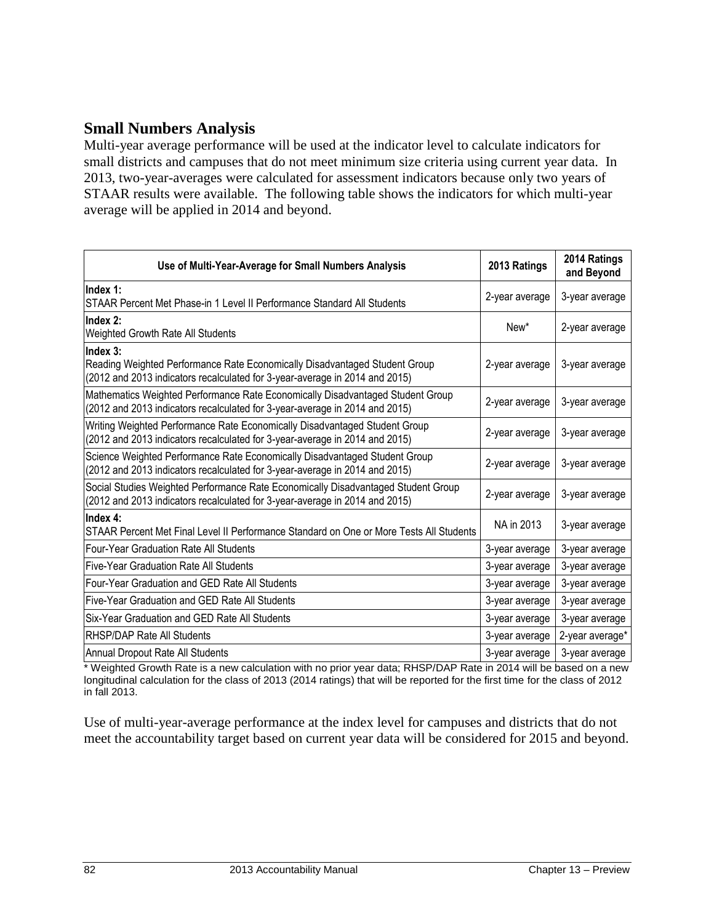# **Small Numbers Analysis**

Multi-year average performance will be used at the indicator level to calculate indicators for small districts and campuses that do not meet minimum size criteria using current year data. In 2013, two-year-averages were calculated for assessment indicators because only two years of STAAR results were available. The following table shows the indicators for which multi-year average will be applied in 2014 and beyond.

| Use of Multi-Year-Average for Small Numbers Analysis                                                                                                                  | 2013 Ratings   | 2014 Ratings<br>and Beyond |
|-----------------------------------------------------------------------------------------------------------------------------------------------------------------------|----------------|----------------------------|
| Index 1:<br>STAAR Percent Met Phase-in 1 Level II Performance Standard All Students                                                                                   | 2-year average | 3-year average             |
| Index 2:<br>Weighted Growth Rate All Students                                                                                                                         | New*           | 2-year average             |
| Index 3:<br>Reading Weighted Performance Rate Economically Disadvantaged Student Group<br>(2012 and 2013 indicators recalculated for 3-year-average in 2014 and 2015) | 2-year average | 3-year average             |
| Mathematics Weighted Performance Rate Economically Disadvantaged Student Group<br>(2012 and 2013 indicators recalculated for 3-year-average in 2014 and 2015)         | 2-year average | 3-year average             |
| Writing Weighted Performance Rate Economically Disadvantaged Student Group<br>(2012 and 2013 indicators recalculated for 3-year-average in 2014 and 2015)             | 2-year average | 3-year average             |
| Science Weighted Performance Rate Economically Disadvantaged Student Group<br>(2012 and 2013 indicators recalculated for 3-year-average in 2014 and 2015)             | 2-year average | 3-year average             |
| Social Studies Weighted Performance Rate Economically Disadvantaged Student Group<br>(2012 and 2013 indicators recalculated for 3-year-average in 2014 and 2015)      | 2-year average | 3-year average             |
| Index 4:<br>STAAR Percent Met Final Level II Performance Standard on One or More Tests All Students                                                                   | NA in 2013     | 3-year average             |
| Four-Year Graduation Rate All Students                                                                                                                                | 3-year average | 3-year average             |
| Five-Year Graduation Rate All Students                                                                                                                                | 3-year average | 3-year average             |
| Four-Year Graduation and GED Rate All Students                                                                                                                        | 3-year average | 3-year average             |
| Five-Year Graduation and GED Rate All Students                                                                                                                        | 3-year average | 3-year average             |
| Six-Year Graduation and GED Rate All Students                                                                                                                         | 3-year average | 3-year average             |
| <b>RHSP/DAP Rate All Students</b>                                                                                                                                     | 3-year average | 2-year average*            |
| Annual Dropout Rate All Students                                                                                                                                      | 3-year average | 3-year average             |

\* Weighted Growth Rate is a new calculation with no prior year data; RHSP/DAP Rate in 2014 will be based on a new longitudinal calculation for the class of 2013 (2014 ratings) that will be reported for the first time for the class of 2012 in fall 2013.

Use of multi-year-average performance at the index level for campuses and districts that do not meet the accountability target based on current year data will be considered for 2015 and beyond.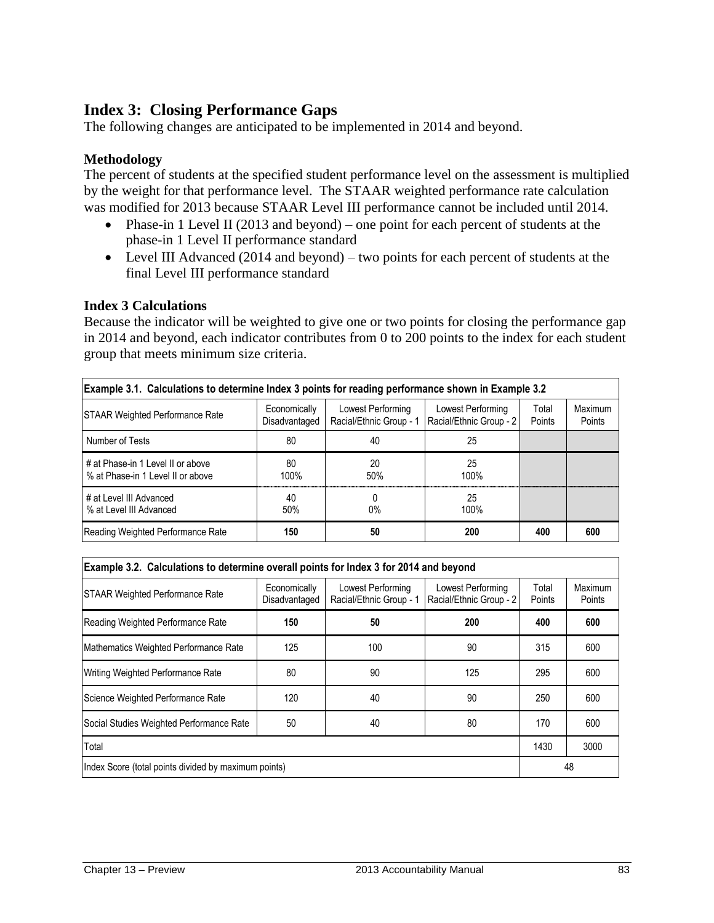# **Index 3: Closing Performance Gaps**

The following changes are anticipated to be implemented in 2014 and beyond.

### **Methodology**

The percent of students at the specified student performance level on the assessment is multiplied by the weight for that performance level. The STAAR weighted performance rate calculation was modified for 2013 because STAAR Level III performance cannot be included until 2014.

- Phase-in 1 Level II (2013 and beyond) one point for each percent of students at the phase-in 1 Level II performance standard
- Level III Advanced (2014 and beyond) two points for each percent of students at the final Level III performance standard

#### **Index 3 Calculations**

Because the indicator will be weighted to give one or two points for closing the performance gap in 2014 and beyond, each indicator contributes from 0 to 200 points to the index for each student group that meets minimum size criteria.

| Example 3.1. Calculations to determine Index 3 points for reading performance shown in Example 3.2 |                               |                                              |                                              |                 |                   |  |  |  |  |  |  |
|----------------------------------------------------------------------------------------------------|-------------------------------|----------------------------------------------|----------------------------------------------|-----------------|-------------------|--|--|--|--|--|--|
| <b>STAAR Weighted Performance Rate</b>                                                             | Economically<br>Disadvantaged | Lowest Performing<br>Racial/Ethnic Group - 1 | Lowest Performing<br>Racial/Ethnic Group - 2 | Total<br>Points | Maximum<br>Points |  |  |  |  |  |  |
| Number of Tests                                                                                    | 80                            | 40                                           | 25                                           |                 |                   |  |  |  |  |  |  |
| # at Phase-in 1 Level II or above<br>% at Phase-in 1 Level II or above                             | 80<br>100%                    | 20<br>50%                                    | 25<br>100%                                   |                 |                   |  |  |  |  |  |  |
| # at Level III Advanced<br>% at Level III Advanced                                                 | 40<br>50%                     | $0\%$                                        | 25<br>100%                                   |                 |                   |  |  |  |  |  |  |
| Reading Weighted Performance Rate                                                                  | 150                           | 50                                           | 200                                          | 400             | 600               |  |  |  |  |  |  |

| Example 3.2. Calculations to determine overall points for Index 3 for 2014 and beyond |                               |                                              |                                              |                 |                   |  |  |  |  |  |  |
|---------------------------------------------------------------------------------------|-------------------------------|----------------------------------------------|----------------------------------------------|-----------------|-------------------|--|--|--|--|--|--|
| <b>STAAR Weighted Performance Rate</b>                                                | Economically<br>Disadvantaged | Lowest Performing<br>Racial/Ethnic Group - 1 | Lowest Performing<br>Racial/Ethnic Group - 2 | Total<br>Points | Maximum<br>Points |  |  |  |  |  |  |
| Reading Weighted Performance Rate                                                     | 150                           | 50                                           | 200                                          | 400             | 600               |  |  |  |  |  |  |
| Mathematics Weighted Performance Rate                                                 | 125                           | 100                                          | 90                                           | 315             | 600               |  |  |  |  |  |  |
| Writing Weighted Performance Rate                                                     | 80                            | 90                                           | 125                                          | 295             | 600               |  |  |  |  |  |  |
| Science Weighted Performance Rate                                                     | 120                           | 40                                           | 90                                           | 250             | 600               |  |  |  |  |  |  |
| Social Studies Weighted Performance Rate                                              | 50                            | 40                                           | 80                                           | 170             | 600               |  |  |  |  |  |  |
| Total                                                                                 | 1430                          | 3000                                         |                                              |                 |                   |  |  |  |  |  |  |
| Index Score (total points divided by maximum points)                                  | 48                            |                                              |                                              |                 |                   |  |  |  |  |  |  |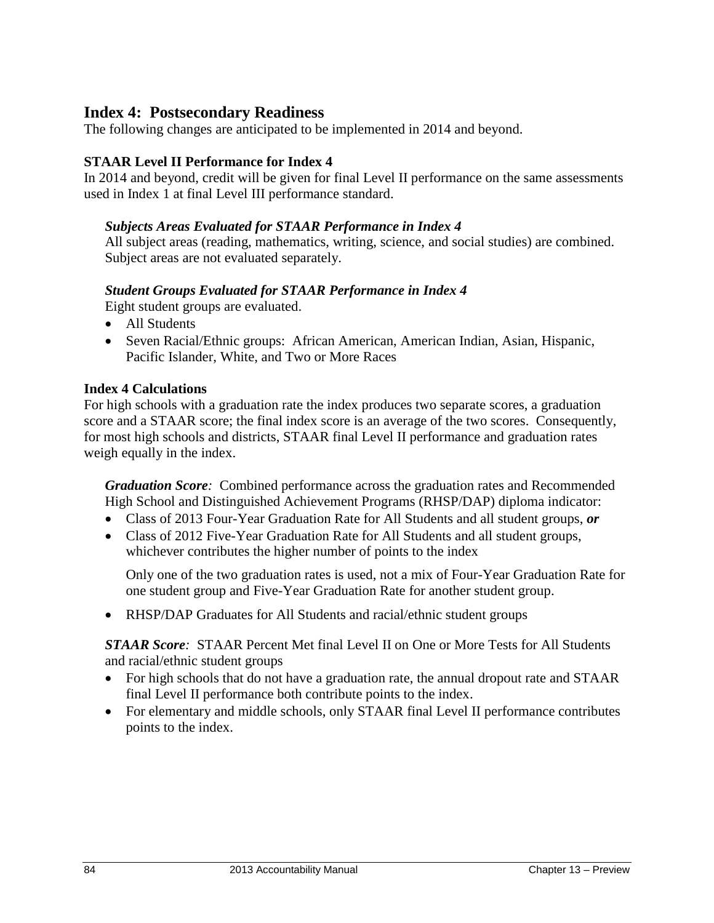# **Index 4: Postsecondary Readiness**

The following changes are anticipated to be implemented in 2014 and beyond.

## **STAAR Level II Performance for Index 4**

In 2014 and beyond, credit will be given for final Level II performance on the same assessments used in Index 1 at final Level III performance standard.

### *Subjects Areas Evaluated for STAAR Performance in Index 4*

All subject areas (reading, mathematics, writing, science, and social studies) are combined. Subject areas are not evaluated separately.

## *Student Groups Evaluated for STAAR Performance in Index 4*

Eight student groups are evaluated.

- All Students
- Seven Racial/Ethnic groups: African American, American Indian, Asian, Hispanic, Pacific Islander, White, and Two or More Races

### **Index 4 Calculations**

For high schools with a graduation rate the index produces two separate scores, a graduation score and a STAAR score; the final index score is an average of the two scores. Consequently, for most high schools and districts, STAAR final Level II performance and graduation rates weigh equally in the index.

*Graduation Score:* Combined performance across the graduation rates and Recommended High School and Distinguished Achievement Programs (RHSP/DAP) diploma indicator:

- Class of 2013 Four-Year Graduation Rate for All Students and all student groups, *or*
- Class of 2012 Five-Year Graduation Rate for All Students and all student groups, whichever contributes the higher number of points to the index

Only one of the two graduation rates is used, not a mix of Four-Year Graduation Rate for one student group and Five-Year Graduation Rate for another student group.

RHSP/DAP Graduates for All Students and racial/ethnic student groups

*STAAR Score:* STAAR Percent Met final Level II on One or More Tests for All Students and racial/ethnic student groups

- For high schools that do not have a graduation rate, the annual dropout rate and STAAR final Level II performance both contribute points to the index.
- For elementary and middle schools, only STAAR final Level II performance contributes points to the index.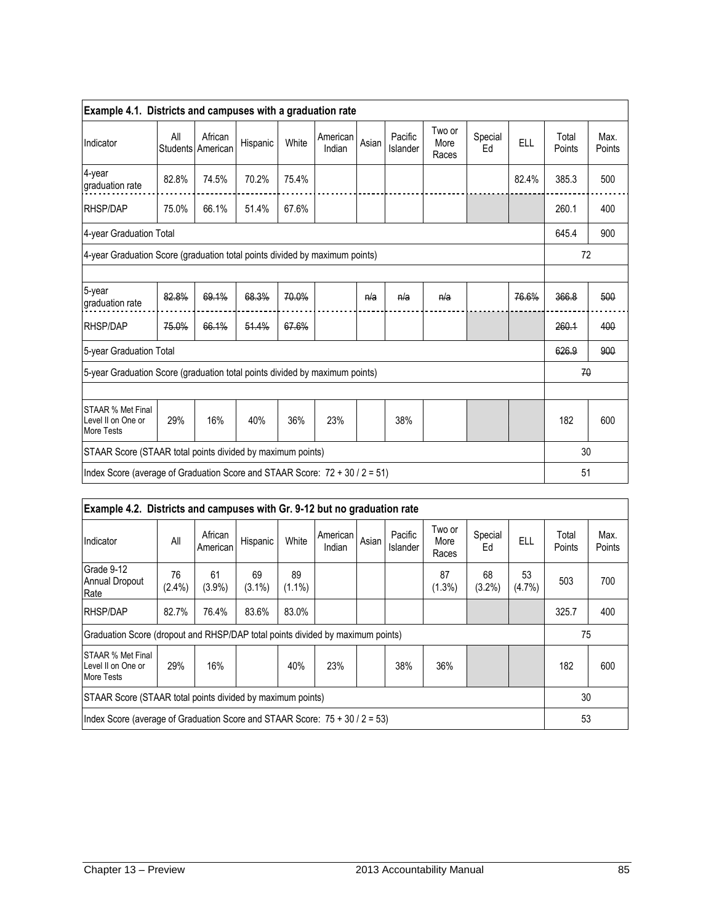| Example 4.1. Districts and campuses with a graduation rate                     |       |                              |          |       |                    |       |                     |                         |               |            |                 |                |
|--------------------------------------------------------------------------------|-------|------------------------------|----------|-------|--------------------|-------|---------------------|-------------------------|---------------|------------|-----------------|----------------|
| Indicator                                                                      | All   | African<br>Students American | Hispanic | White | American<br>Indian | Asian | Pacific<br>Islander | Two or<br>More<br>Races | Special<br>Ed | <b>ELL</b> | Total<br>Points | Max.<br>Points |
| $4$ -year<br>graduation rate                                                   | 82.8% | 74.5%                        | 70.2%    | 75.4% |                    |       |                     |                         |               | 82.4%      | 385.3           | 500            |
| RHSP/DAP                                                                       | 75.0% | 66.1%                        | 51.4%    | 67.6% |                    |       |                     |                         |               |            | 260.1           | 400            |
| 4-year Graduation Total                                                        |       |                              |          |       |                    |       |                     |                         |               |            | 645.4           | 900            |
| 4-year Graduation Score (graduation total points divided by maximum points)    |       |                              |          |       |                    |       |                     |                         |               | 72         |                 |                |
|                                                                                |       |                              |          |       |                    |       |                     |                         |               |            |                 |                |
| 5-year<br>graduation rate                                                      | 82.8% | 69.1%                        | 68.3%    | 70.0% |                    | n/a   | n/a                 | n/a                     |               | 76.6%      | 366.8           | 500            |
| RHSP/DAP                                                                       | 75.0% | 66.1%                        | 51.4%    | 67.6% |                    |       |                     |                         |               |            | 260.1           | 400            |
| 5-year Graduation Total                                                        |       |                              |          |       |                    |       |                     |                         |               |            | 626.9           | 900            |
| 5-year Graduation Score (graduation total points divided by maximum points)    |       |                              |          |       |                    |       |                     |                         |               |            | 70              |                |
|                                                                                |       |                              |          |       |                    |       |                     |                         |               |            |                 |                |
| STAAR % Met Final<br>Level II on One or<br>More Tests                          | 29%   | 16%                          | 40%      | 36%   | 23%                |       | 38%                 |                         |               |            | 182             | 600            |
| STAAR Score (STAAR total points divided by maximum points)                     |       |                              |          |       |                    |       |                     |                         |               |            | 30              |                |
| Index Score (average of Graduation Score and STAAR Score: $72 + 30 / 2 = 51$ ) |       |                              |          |       |                    |       |                     |                         |               |            | 51              |                |

| Example 4.2. Districts and campuses with Gr. 9-12 but no graduation rate       |                 |                     |                 |                 |                    |       |                     |                         |               |                 |                 |                |
|--------------------------------------------------------------------------------|-----------------|---------------------|-----------------|-----------------|--------------------|-------|---------------------|-------------------------|---------------|-----------------|-----------------|----------------|
| Indicator                                                                      | All             | African<br>American | Hispanic        | White           | American<br>Indian | Asian | Pacific<br>Islander | Two or<br>More<br>Races | Special<br>Ed | ELL             | Total<br>Points | Max.<br>Points |
| Grade 9-12<br><b>Annual Dropout</b><br>Rate                                    | 76<br>$(2.4\%)$ | 61<br>$(3.9\%)$     | 69<br>$(3.1\%)$ | 89<br>$(1.1\%)$ |                    |       |                     | 87<br>$(1.3\%)$         | 68<br>(3.2%)  | 53<br>$(4.7\%)$ | 503             | 700            |
| <b>RHSP/DAP</b>                                                                | 82.7%           | 76.4%               | 83.6%           | 83.0%           |                    |       |                     |                         |               |                 | 325.7           | 400            |
| Graduation Score (dropout and RHSP/DAP total points divided by maximum points) |                 |                     |                 |                 |                    |       |                     |                         |               |                 | 75              |                |
| ISTAAR % Met Final<br>Level II on One or<br><b>More Tests</b>                  | 29%             | 16%                 |                 | 40%             | 23%                |       | 38%                 | 36%                     |               |                 | 182             | 600            |
| STAAR Score (STAAR total points divided by maximum points)                     |                 |                     |                 |                 |                    |       |                     |                         |               |                 | 30              |                |
| Index Score (average of Graduation Score and STAAR Score: $75 + 30 / 2 = 53$ ) |                 |                     |                 |                 |                    |       |                     |                         |               |                 | 53              |                |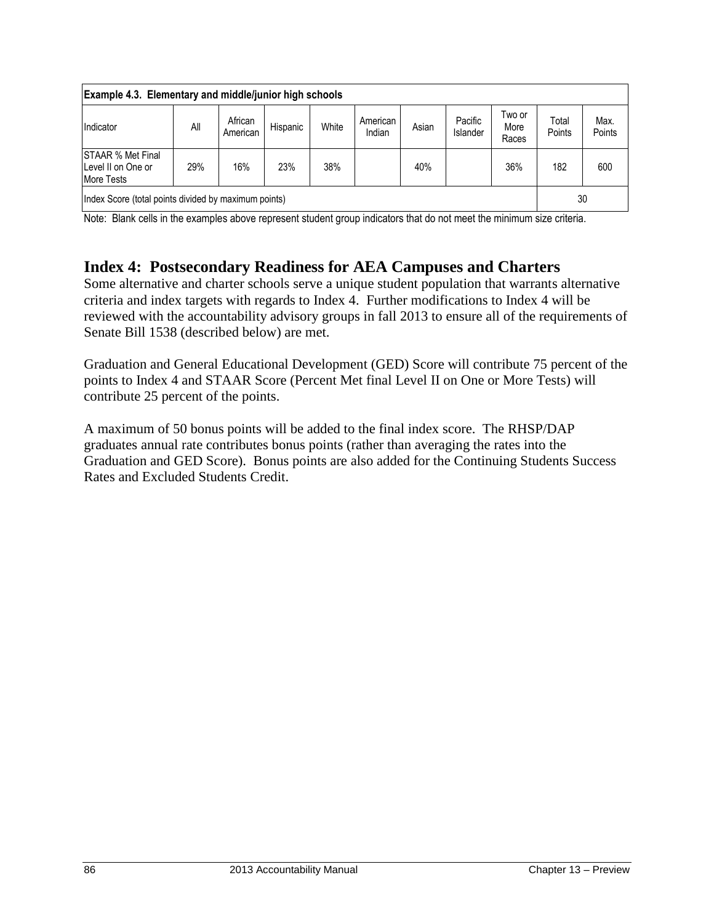| Example 4.3. Elementary and middle/junior high schools              |     |                     |          |       |                    |       |                            |                         |                 |                |  |
|---------------------------------------------------------------------|-----|---------------------|----------|-------|--------------------|-------|----------------------------|-------------------------|-----------------|----------------|--|
| Indicator                                                           | All | African<br>American | Hispanic | White | American<br>Indian | Asian | Pacific<br><b>Islander</b> | Two or<br>More<br>Races | Total<br>Points | Max.<br>Points |  |
| <b>STAAR % Met Final</b><br>Level II on One or<br><b>More Tests</b> | 29% | 16%                 | 23%      | 38%   |                    | 40%   |                            | 36%                     | 182             | 600            |  |
| Index Score (total points divided by maximum points)                |     |                     |          |       |                    |       |                            |                         | 30              |                |  |

Note: Blank cells in the examples above represent student group indicators that do not meet the minimum size criteria.

# **Index 4: Postsecondary Readiness for AEA Campuses and Charters**

Some alternative and charter schools serve a unique student population that warrants alternative criteria and index targets with regards to Index 4. Further modifications to Index 4 will be reviewed with the accountability advisory groups in fall 2013 to ensure all of the requirements of Senate Bill 1538 (described below) are met.

Graduation and General Educational Development (GED) Score will contribute 75 percent of the points to Index 4 and STAAR Score (Percent Met final Level II on One or More Tests) will contribute 25 percent of the points.

A maximum of 50 bonus points will be added to the final index score. The RHSP/DAP graduates annual rate contributes bonus points (rather than averaging the rates into the Graduation and GED Score). Bonus points are also added for the Continuing Students Success Rates and Excluded Students Credit.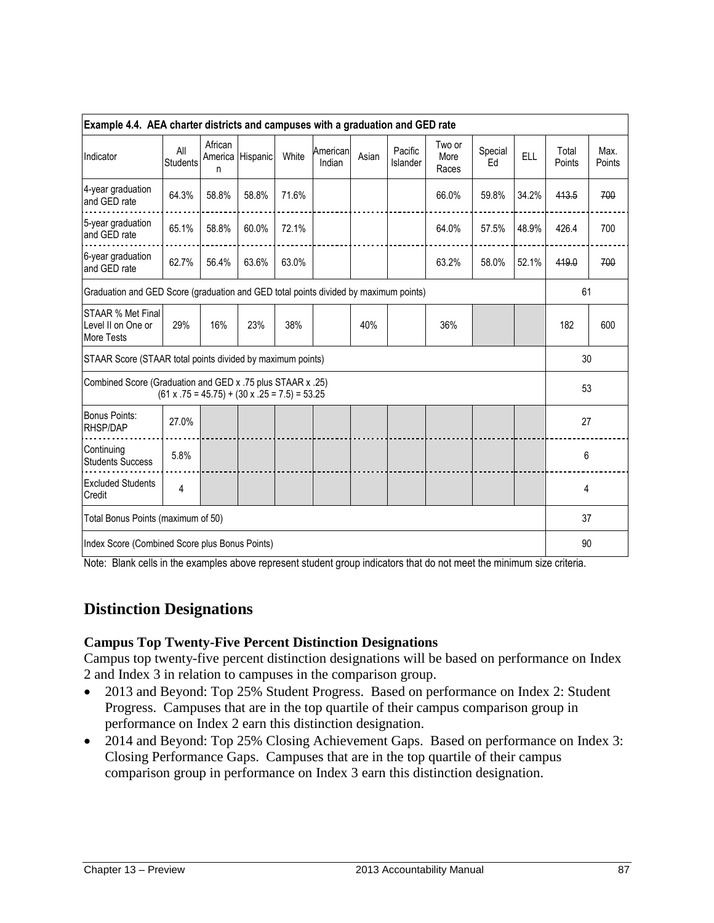| Example 4.4. AEA charter districts and campuses with a graduation and GED rate       |                        |              |                                                           |       |                    |       |                     |                         |               |            |                 |                |
|--------------------------------------------------------------------------------------|------------------------|--------------|-----------------------------------------------------------|-------|--------------------|-------|---------------------|-------------------------|---------------|------------|-----------------|----------------|
| Indicator                                                                            | All<br><b>Students</b> | African<br>n | America Hispanic                                          | White | American<br>Indian | Asian | Pacific<br>Islander | Two or<br>More<br>Races | Special<br>Ed | <b>ELL</b> | Total<br>Points | Max.<br>Points |
| 4-year graduation<br>and GED rate                                                    | 64.3%                  | 58.8%        | 58.8%                                                     | 71.6% |                    |       |                     | 66.0%                   | 59.8%         | 34.2%      | 413.5           | 700            |
| 5-year graduation<br>and GED rate                                                    | 65.1%                  | 58.8%        | 60.0%                                                     | 72.1% |                    |       |                     | 64.0%                   | 57.5%         | 48.9%      | 426.4           | 700            |
| 6-year graduation<br>and GED rate                                                    | 62.7%                  | 56.4%        | 63.6%                                                     | 63.0% |                    |       |                     | 63.2%                   | 58.0%         | 52.1%      | 419.0           | 700            |
| Graduation and GED Score (graduation and GED total points divided by maximum points) |                        |              |                                                           |       |                    |       |                     |                         |               |            | 61              |                |
| <b>STAAR % Met Final</b><br>Level II on One or<br><b>More Tests</b>                  | 29%                    | 16%          | 23%                                                       | 38%   |                    | 40%   |                     | 36%                     |               |            | 182             | 600            |
| STAAR Score (STAAR total points divided by maximum points)                           |                        |              |                                                           |       |                    |       |                     |                         |               |            | 30              |                |
| Combined Score (Graduation and GED x .75 plus STAAR x .25)                           |                        |              | $(61 \times .75 = 45.75) + (30 \times .25 = 7.5) = 53.25$ |       |                    |       |                     |                         |               |            | 53              |                |
| <b>Bonus Points:</b><br><b>RHSP/DAP</b>                                              | 27.0%                  |              |                                                           |       |                    |       |                     |                         |               |            | 27              |                |
| Continuing<br><b>Students Success</b>                                                | 5.8%                   |              |                                                           |       |                    |       |                     |                         |               |            | 6               |                |
| <b>Excluded Students</b><br>Credit                                                   | 4                      |              |                                                           |       |                    |       |                     |                         |               |            | 4               |                |
| Total Bonus Points (maximum of 50)                                                   |                        |              |                                                           |       |                    |       |                     |                         |               |            | 37              |                |
| Index Score (Combined Score plus Bonus Points)                                       |                        |              |                                                           |       |                    |       |                     | 90                      |               |            |                 |                |

Note: Blank cells in the examples above represent student group indicators that do not meet the minimum size criteria.

# **Distinction Designations**

#### **Campus Top Twenty-Five Percent Distinction Designations**

Campus top twenty-five percent distinction designations will be based on performance on Index 2 and Index 3 in relation to campuses in the comparison group.

- 2013 and Beyond: Top 25% Student Progress. Based on performance on Index 2: Student Progress. Campuses that are in the top quartile of their campus comparison group in performance on Index 2 earn this distinction designation.
- 2014 and Beyond: Top 25% Closing Achievement Gaps. Based on performance on Index 3: Closing Performance Gaps. Campuses that are in the top quartile of their campus comparison group in performance on Index 3 earn this distinction designation.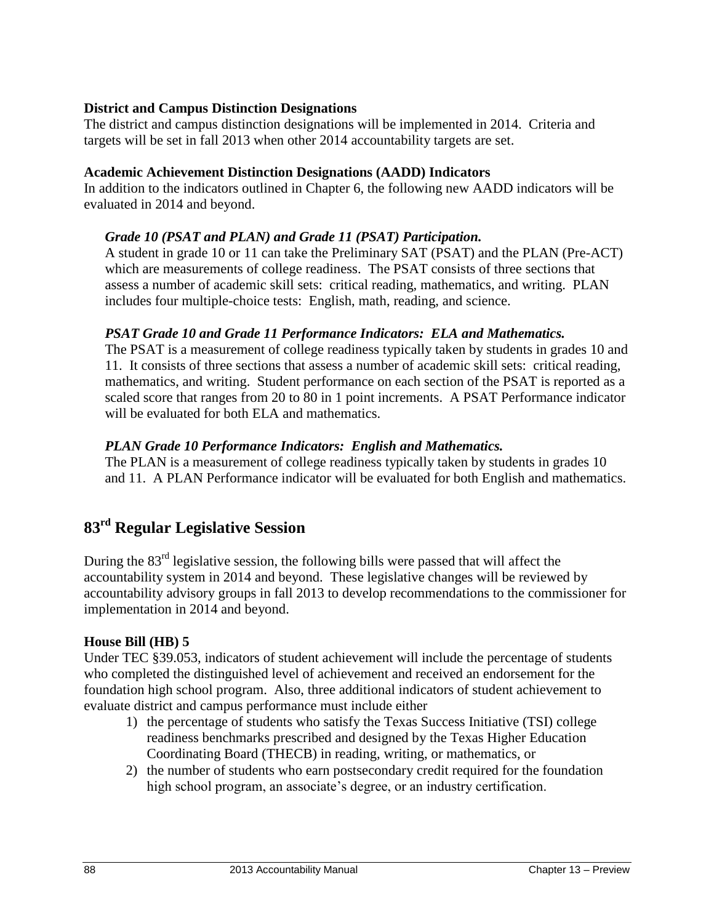### **District and Campus Distinction Designations**

The district and campus distinction designations will be implemented in 2014. Criteria and targets will be set in fall 2013 when other 2014 accountability targets are set.

#### **Academic Achievement Distinction Designations (AADD) Indicators**

In addition to the indicators outlined in Chapter 6, the following new AADD indicators will be evaluated in 2014 and beyond.

### *Grade 10 (PSAT and PLAN) and Grade 11 (PSAT) Participation.*

A student in grade 10 or 11 can take the Preliminary SAT (PSAT) and the PLAN (Pre-ACT) which are measurements of college readiness. The PSAT consists of three sections that assess a number of academic skill sets: critical reading, mathematics, and writing. PLAN includes four multiple-choice tests: English, math, reading, and science.

### *PSAT Grade 10 and Grade 11 Performance Indicators: ELA and Mathematics.*

The PSAT is a measurement of college readiness typically taken by students in grades 10 and 11. It consists of three sections that assess a number of academic skill sets: critical reading, mathematics, and writing. Student performance on each section of the PSAT is reported as a scaled score that ranges from 20 to 80 in 1 point increments. A PSAT Performance indicator will be evaluated for both ELA and mathematics.

#### *PLAN Grade 10 Performance Indicators: English and Mathematics.*

The PLAN is a measurement of college readiness typically taken by students in grades 10 and 11. A PLAN Performance indicator will be evaluated for both English and mathematics.

# **83rd Regular Legislative Session**

During the  $83<sup>rd</sup>$  legislative session, the following bills were passed that will affect the accountability system in 2014 and beyond. These legislative changes will be reviewed by accountability advisory groups in fall 2013 to develop recommendations to the commissioner for implementation in 2014 and beyond.

#### **House Bill (HB) 5**

Under TEC §39.053, indicators of student achievement will include the percentage of students who completed the distinguished level of achievement and received an endorsement for the foundation high school program. Also, three additional indicators of student achievement to evaluate district and campus performance must include either

- 1) the percentage of students who satisfy the Texas Success Initiative (TSI) college readiness benchmarks prescribed and designed by the Texas Higher Education Coordinating Board (THECB) in reading, writing, or mathematics, or
- 2) the number of students who earn postsecondary credit required for the foundation high school program, an associate's degree, or an industry certification.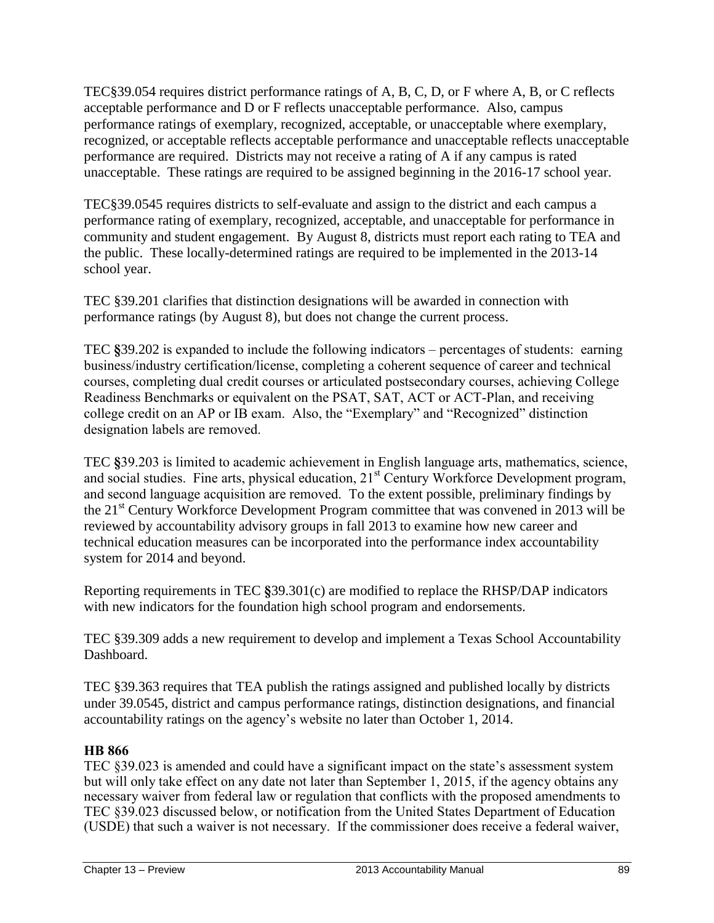TEC§39.054 requires district performance ratings of A, B, C, D, or F where A, B, or C reflects acceptable performance and D or F reflects unacceptable performance. Also, campus performance ratings of exemplary, recognized, acceptable, or unacceptable where exemplary, recognized, or acceptable reflects acceptable performance and unacceptable reflects unacceptable performance are required. Districts may not receive a rating of A if any campus is rated unacceptable. These ratings are required to be assigned beginning in the 2016-17 school year.

TEC§39.0545 requires districts to self-evaluate and assign to the district and each campus a performance rating of exemplary, recognized, acceptable, and unacceptable for performance in community and student engagement. By August 8, districts must report each rating to TEA and the public. These locally-determined ratings are required to be implemented in the 2013-14 school year.

TEC §39.201 clarifies that distinction designations will be awarded in connection with performance ratings (by August 8), but does not change the current process.

TEC **§**39.202 is expanded to include the following indicators – percentages of students: earning business/industry certification/license, completing a coherent sequence of career and technical courses, completing dual credit courses or articulated postsecondary courses, achieving College Readiness Benchmarks or equivalent on the PSAT, SAT, ACT or ACT-Plan, and receiving college credit on an AP or IB exam. Also, the "Exemplary" and "Recognized" distinction designation labels are removed.

TEC **§**39.203 is limited to academic achievement in English language arts, mathematics, science, and social studies. Fine arts, physical education, 21<sup>st</sup> Century Workforce Development program, and second language acquisition are removed. To the extent possible, preliminary findings by the 21<sup>st</sup> Century Workforce Development Program committee that was convened in 2013 will be reviewed by accountability advisory groups in fall 2013 to examine how new career and technical education measures can be incorporated into the performance index accountability system for 2014 and beyond.

Reporting requirements in TEC **§**39.301(c) are modified to replace the RHSP/DAP indicators with new indicators for the foundation high school program and endorsements.

TEC §39.309 adds a new requirement to develop and implement a Texas School Accountability Dashboard.

TEC §39.363 requires that TEA publish the ratings assigned and published locally by districts under 39.0545, district and campus performance ratings, distinction designations, and financial accountability ratings on the agency's website no later than October 1, 2014.

# **HB 866**

TEC §39.023 is amended and could have a significant impact on the state's assessment system but will only take effect on any date not later than September 1, 2015, if the agency obtains any necessary waiver from federal law or regulation that conflicts with the proposed amendments to TEC §39.023 discussed below, or notification from the United States Department of Education (USDE) that such a waiver is not necessary. If the commissioner does receive a federal waiver,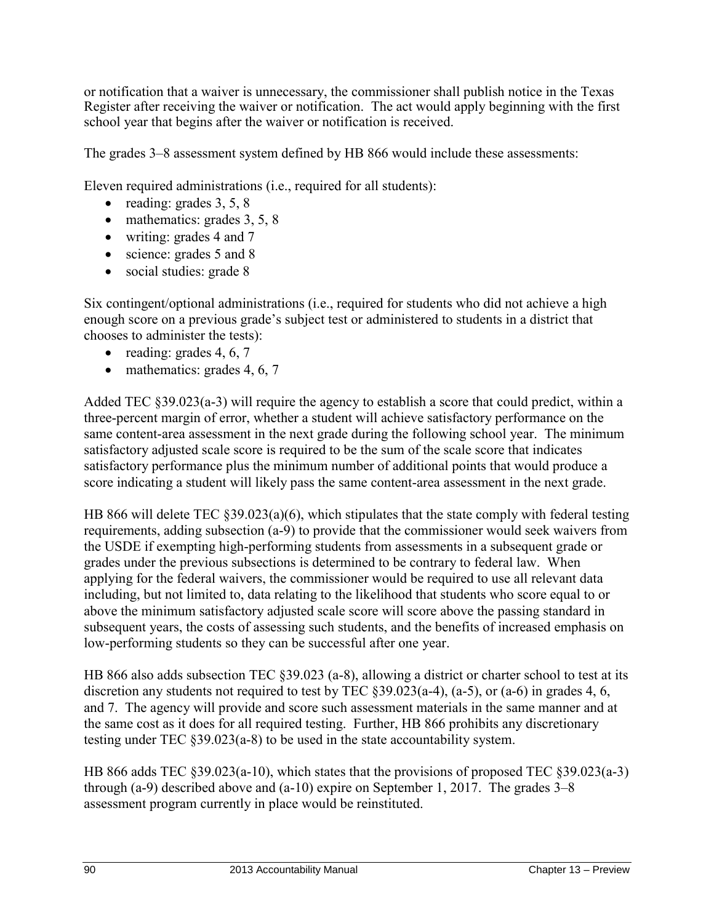or notification that a waiver is unnecessary, the commissioner shall publish notice in the Texas Register after receiving the waiver or notification. The act would apply beginning with the first school year that begins after the waiver or notification is received.

The grades 3–8 assessment system defined by HB 866 would include these assessments:

Eleven required administrations (i.e., required for all students):

- reading: grades  $3, 5, 8$
- $\bullet$  mathematics: grades 3, 5, 8
- writing: grades 4 and 7
- science: grades 5 and 8
- social studies: grade 8

Six contingent/optional administrations (i.e., required for students who did not achieve a high enough score on a previous grade's subject test or administered to students in a district that chooses to administer the tests):

- reading: grades  $4, 6, 7$
- $\bullet$  mathematics: grades 4, 6, 7

Added TEC §39.023(a-3) will require the agency to establish a score that could predict, within a three-percent margin of error, whether a student will achieve satisfactory performance on the same content-area assessment in the next grade during the following school year. The minimum satisfactory adjusted scale score is required to be the sum of the scale score that indicates satisfactory performance plus the minimum number of additional points that would produce a score indicating a student will likely pass the same content-area assessment in the next grade.

HB 866 will delete TEC  $\S 39.023(a)(6)$ , which stipulates that the state comply with federal testing requirements, adding subsection (a-9) to provide that the commissioner would seek waivers from the USDE if exempting high-performing students from assessments in a subsequent grade or grades under the previous subsections is determined to be contrary to federal law. When applying for the federal waivers, the commissioner would be required to use all relevant data including, but not limited to, data relating to the likelihood that students who score equal to or above the minimum satisfactory adjusted scale score will score above the passing standard in subsequent years, the costs of assessing such students, and the benefits of increased emphasis on low-performing students so they can be successful after one year.

HB 866 also adds subsection TEC §39.023 (a-8), allowing a district or charter school to test at its discretion any students not required to test by TEC §39.023(a-4), (a-5), or (a-6) in grades 4, 6, and 7. The agency will provide and score such assessment materials in the same manner and at the same cost as it does for all required testing. Further, HB 866 prohibits any discretionary testing under TEC §39.023(a-8) to be used in the state accountability system.

HB 866 adds TEC §39.023(a-10), which states that the provisions of proposed TEC §39.023(a-3) through (a-9) described above and (a-10) expire on September 1, 2017. The grades 3–8 assessment program currently in place would be reinstituted.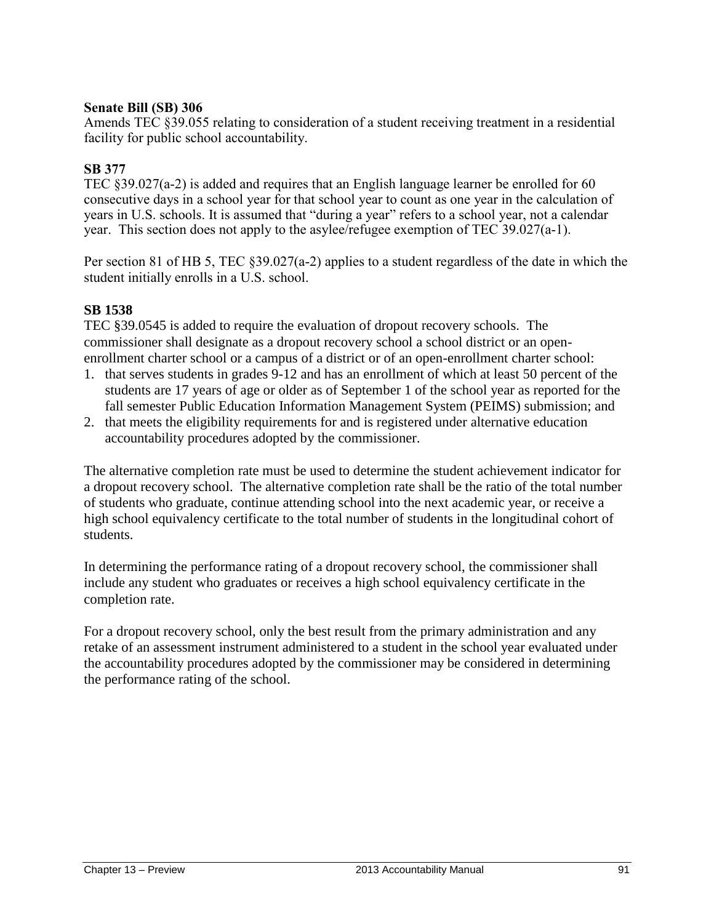#### **Senate Bill (SB) 306**

Amends TEC §39.055 relating to consideration of a student receiving treatment in a residential facility for public school accountability.

#### **SB 377**

TEC §39.027(a-2) is added and requires that an English language learner be enrolled for 60 consecutive days in a school year for that school year to count as one year in the calculation of years in U.S. schools. It is assumed that "during a year" refers to a school year, not a calendar year. This section does not apply to the asylee/refugee exemption of TEC 39.027(a-1).

Per section 81 of HB 5, TEC §39.027(a-2) applies to a student regardless of the date in which the student initially enrolls in a U.S. school.

#### **SB 1538**

TEC §39.0545 is added to require the evaluation of dropout recovery schools. The commissioner shall designate as a dropout recovery school a school district or an openenrollment charter school or a campus of a district or of an open-enrollment charter school:

- 1. that serves students in grades 9-12 and has an enrollment of which at least 50 percent of the students are 17 years of age or older as of September 1 of the school year as reported for the fall semester Public Education Information Management System (PEIMS) submission; and
- 2. that meets the eligibility requirements for and is registered under alternative education accountability procedures adopted by the commissioner.

The alternative completion rate must be used to determine the student achievement indicator for a dropout recovery school. The alternative completion rate shall be the ratio of the total number of students who graduate, continue attending school into the next academic year, or receive a high school equivalency certificate to the total number of students in the longitudinal cohort of students.

In determining the performance rating of a dropout recovery school, the commissioner shall include any student who graduates or receives a high school equivalency certificate in the completion rate.

For a dropout recovery school, only the best result from the primary administration and any retake of an assessment instrument administered to a student in the school year evaluated under the accountability procedures adopted by the commissioner may be considered in determining the performance rating of the school.